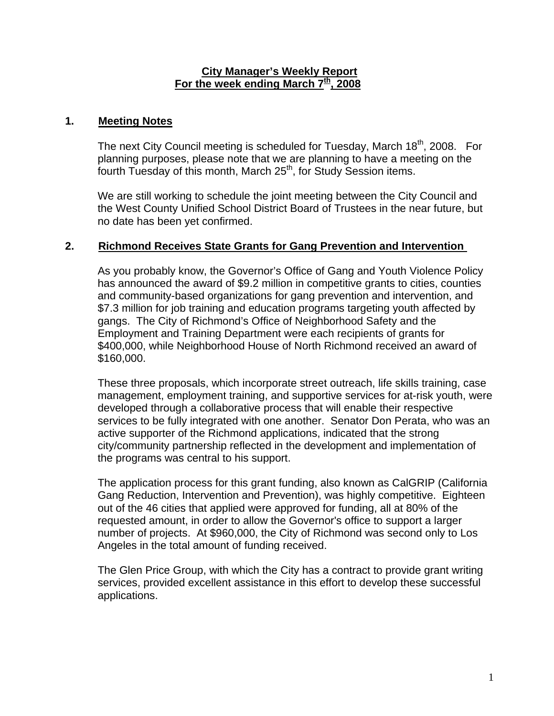#### **City Manager's Weekly Report** For the week ending March 7<sup>th</sup>, 2008

### **1. Meeting Notes**

The next City Council meeting is scheduled for Tuesday, March 18<sup>th</sup>, 2008. For planning purposes, please note that we are planning to have a meeting on the fourth Tuesday of this month, March  $25<sup>th</sup>$ , for Study Session items.

We are still working to schedule the joint meeting between the City Council and the West County Unified School District Board of Trustees in the near future, but no date has been yet confirmed.

## **2. Richmond Receives State Grants for Gang Prevention and Intervention**

As you probably know, the Governor's Office of Gang and Youth Violence Policy has announced the award of \$9.2 million in competitive grants to cities, counties and community-based organizations for gang prevention and intervention, and \$7.3 million for job training and education programs targeting youth affected by gangs. The City of Richmond's Office of Neighborhood Safety and the Employment and Training Department were each recipients of grants for \$400,000, while Neighborhood House of North Richmond received an award of \$160,000.

These three proposals, which incorporate street outreach, life skills training, case management, employment training, and supportive services for at-risk youth, were developed through a collaborative process that will enable their respective services to be fully integrated with one another. Senator Don Perata, who was an active supporter of the Richmond applications, indicated that the strong city/community partnership reflected in the development and implementation of the programs was central to his support.

The application process for this grant funding, also known as CalGRIP (California Gang Reduction, Intervention and Prevention), was highly competitive. Eighteen out of the 46 cities that applied were approved for funding, all at 80% of the requested amount, in order to allow the Governor's office to support a larger number of projects. At \$960,000, the City of Richmond was second only to Los Angeles in the total amount of funding received.

The Glen Price Group, with which the City has a contract to provide grant writing services, provided excellent assistance in this effort to develop these successful applications.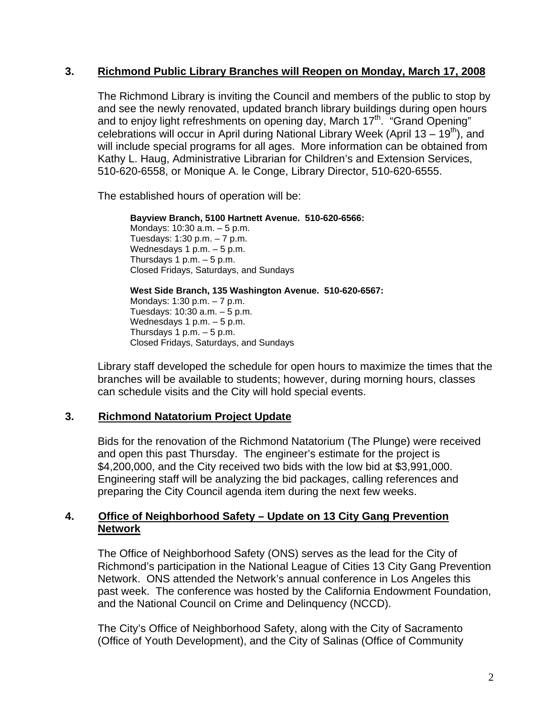### **3. Richmond Public Library Branches will Reopen on Monday, March 17, 2008**

The Richmond Library is inviting the Council and members of the public to stop by and see the newly renovated, updated branch library buildings during open hours and to enjoy light refreshments on opening day, March 17<sup>th</sup>. "Grand Opening" celebrations will occur in April during National Library Week (April 13 – 19<sup>th</sup>), and will include special programs for all ages. More information can be obtained from Kathy L. Haug, Administrative Librarian for Children's and Extension Services, 510-620-6558, or Monique A. le Conge, Library Director, 510-620-6555.

The established hours of operation will be:

**Bayview Branch, 5100 Hartnett Avenue. 510-620-6566:** 

Mondays: 10:30 a.m. – 5 p.m. Tuesdays: 1:30 p.m. – 7 p.m. Wednesdays 1 p.m. - 5 p.m. Thursdays  $1 p.m. - 5 p.m.$ Closed Fridays, Saturdays, and Sundays

**West Side Branch, 135 Washington Avenue. 510-620-6567:**  Mondays: 1:30 p.m. – 7 p.m. Tuesdays: 10:30 a.m. – 5 p.m. Wednesdays 1 p.m.  $-5$  p.m. Thursdays 1 p.m.  $-5$  p.m. Closed Fridays, Saturdays, and Sundays

Library staff developed the schedule for open hours to maximize the times that the branches will be available to students; however, during morning hours, classes can schedule visits and the City will hold special events.

# **3. Richmond Natatorium Project Update**

Bids for the renovation of the Richmond Natatorium (The Plunge) were received and open this past Thursday. The engineer's estimate for the project is \$4,200,000, and the City received two bids with the low bid at \$3,991,000. Engineering staff will be analyzing the bid packages, calling references and preparing the City Council agenda item during the next few weeks.

# **4. Office of Neighborhood Safety – Update on 13 City Gang Prevention Network**

The Office of Neighborhood Safety (ONS) serves as the lead for the City of Richmond's participation in the National League of Cities 13 City Gang Prevention Network. ONS attended the Network's annual conference in Los Angeles this past week. The conference was hosted by the California Endowment Foundation, and the National Council on Crime and Delinquency (NCCD).

The City's Office of Neighborhood Safety, along with the City of Sacramento (Office of Youth Development), and the City of Salinas (Office of Community